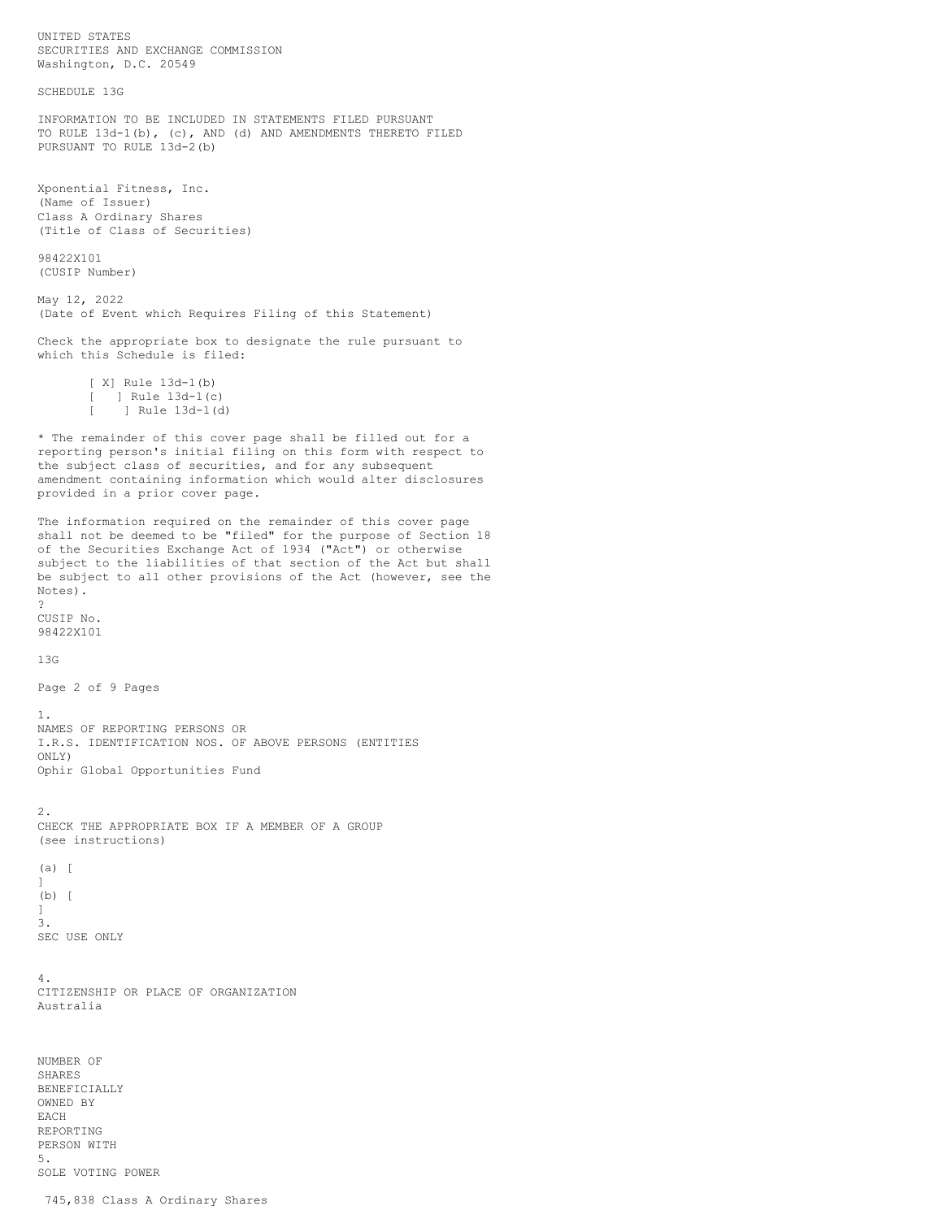UNITED STATES SECURITIES AND EXCHANGE COMMISSION Washington, D.C. 20549 SCHEDULE 13G INFORMATION TO BE INCLUDED IN STATEMENTS FILED PURSUANT TO RULE 13d-1(b), (c), AND (d) AND AMENDMENTS THERETO FILED PURSUANT TO RULE 13d-2(b) Xponential Fitness, Inc. (Name of Issuer) Class A Ordinary Shares (Title of Class of Securities) 98422X101 (CUSIP Number) May 12, 2022 (Date of Event which Requires Filing of this Statement) Check the appropriate box to designate the rule pursuant to which this Schedule is filed: [ X] Rule  $13d-1(b)$ ] Rule 13d-1(c) [ ] Rule 13d-1(d) \* The remainder of this cover page shall be filled out for a reporting person's initial filing on this form with respect to the subject class of securities, and for any subsequent amendment containing information which would alter disclosures provided in a prior cover page. The information required on the remainder of this cover page shall not be deemed to be "filed" for the purpose of Section 18 of the Securities Exchange Act of 1934 ("Act") or otherwise subject to the liabilities of that section of the Act but shall be subject to all other provisions of the Act (however, see the Notes). ? CUSIP No. 98422X101 13G Page 2 of 9 Pages 1. NAMES OF REPORTING PERSONS OR I.R.S. IDENTIFICATION NOS. OF ABOVE PERSONS (ENTITIES ONLY) Ophir Global Opportunities Fund 2. CHECK THE APPROPRIATE BOX IF A MEMBER OF A GROUP (see instructions) (a) [  $\mathbb{I}$ (b) [ ] 3. SEC USE ONLY 4. CITIZENSHIP OR PLACE OF ORGANIZATION Australia NUMBER OF SHARES BENEFICIALLY OWNED BY EACH REPORTING PERSON WITH 5.

745,838 Class A Ordinary Shares

SOLE VOTING POWER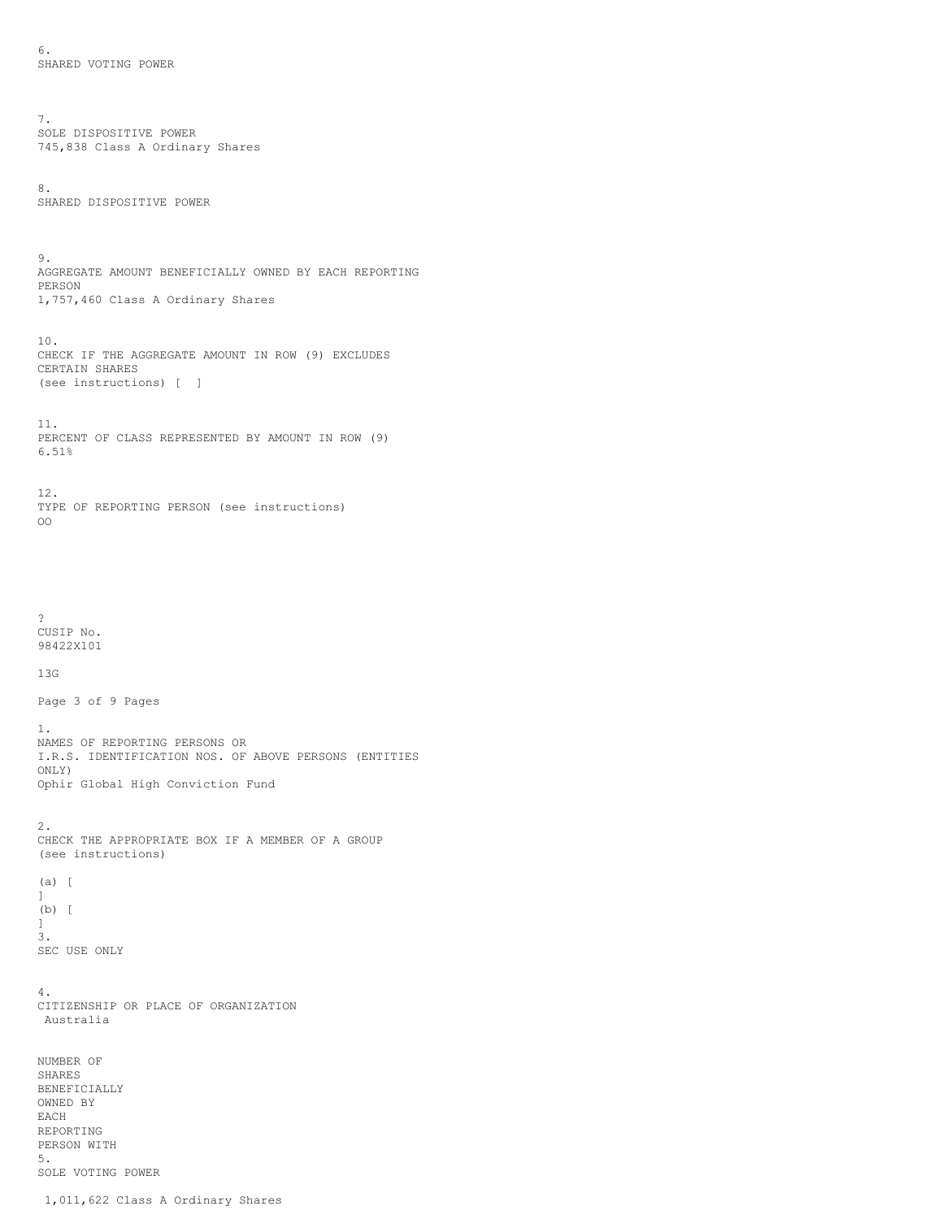6. SHARED VOTING POWER

7. SOLE DISPOSITIVE POWER 745,838 Class A Ordinary Shares

8. SHARED DISPOSITIVE POWER

9. AGGREGATE AMOUNT BENEFICIALLY OWNED BY EACH REPORTING PERSON 1,757,460 Class A Ordinary Shares

10. CHECK IF THE AGGREGATE AMOUNT IN ROW (9) EXCLUDES CERTAIN SHARES (see instructions) [ ]

11. PERCENT OF CLASS REPRESENTED BY AMOUNT IN ROW (9) 6.51%

12. TYPE OF REPORTING PERSON (see instructions) OO

? CUSIP No. 98422X101

13G

Page 3 of 9 Pages

1. NAMES OF REPORTING PERSONS OR I.R.S. IDENTIFICATION NOS. OF ABOVE PERSONS (ENTITIES ONLY) Ophir Global High Conviction Fund

2. CHECK THE APPROPRIATE BOX IF A MEMBER OF A GROUP (see instructions)

(a) [ ] (b) [  $\mathbb{I}$ 3. SEC USE ONLY

4. CITIZENSHIP OR PLACE OF ORGANIZATION Australia

NUMBER OF SHARES BENEFICIALLY OWNED BY EACH REPORTING PERSON WITH 5. SOLE VOTING POWER

1,011,622 Class A Ordinary Shares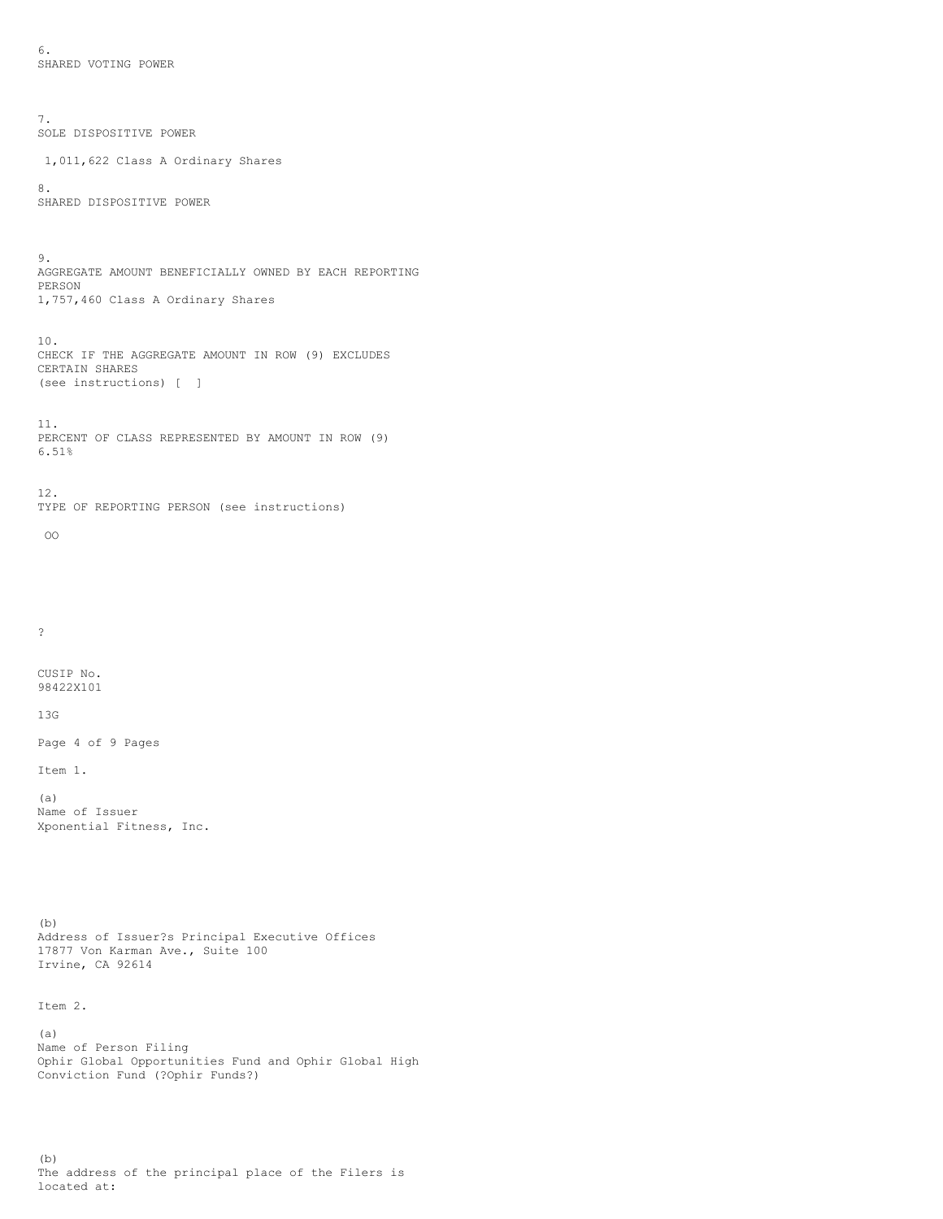6. SHARED VOTING POWER

7. SOLE DISPOSITIVE POWER 1,011,622 Class A Ordinary Shares 8. SHARED DISPOSITIVE POWER 9. AGGREGATE AMOUNT BENEFICIALLY OWNED BY EACH REPORTING PERSON 1,757,460 Class A Ordinary Shares 10. CHECK IF THE AGGREGATE AMOUNT IN ROW (9) EXCLUDES CERTAIN SHARES (see instructions) [ ] 11. PERCENT OF CLASS REPRESENTED BY AMOUNT IN ROW (9) 6.51% 12. TYPE OF REPORTING PERSON (see instructions) OO ? CUSIP No. 98422X101 13G Page 4 of 9 Pages Item 1. (a) Name of Issuer Xponential Fitness, Inc. (b) Address of Issuer?s Principal Executive Offices 17877 Von Karman Ave., Suite 100 Irvine, CA 92614 Item 2. (a) Name of Person Filing Ophir Global Opportunities Fund and Ophir Global High Conviction Fund (?Ophir Funds?)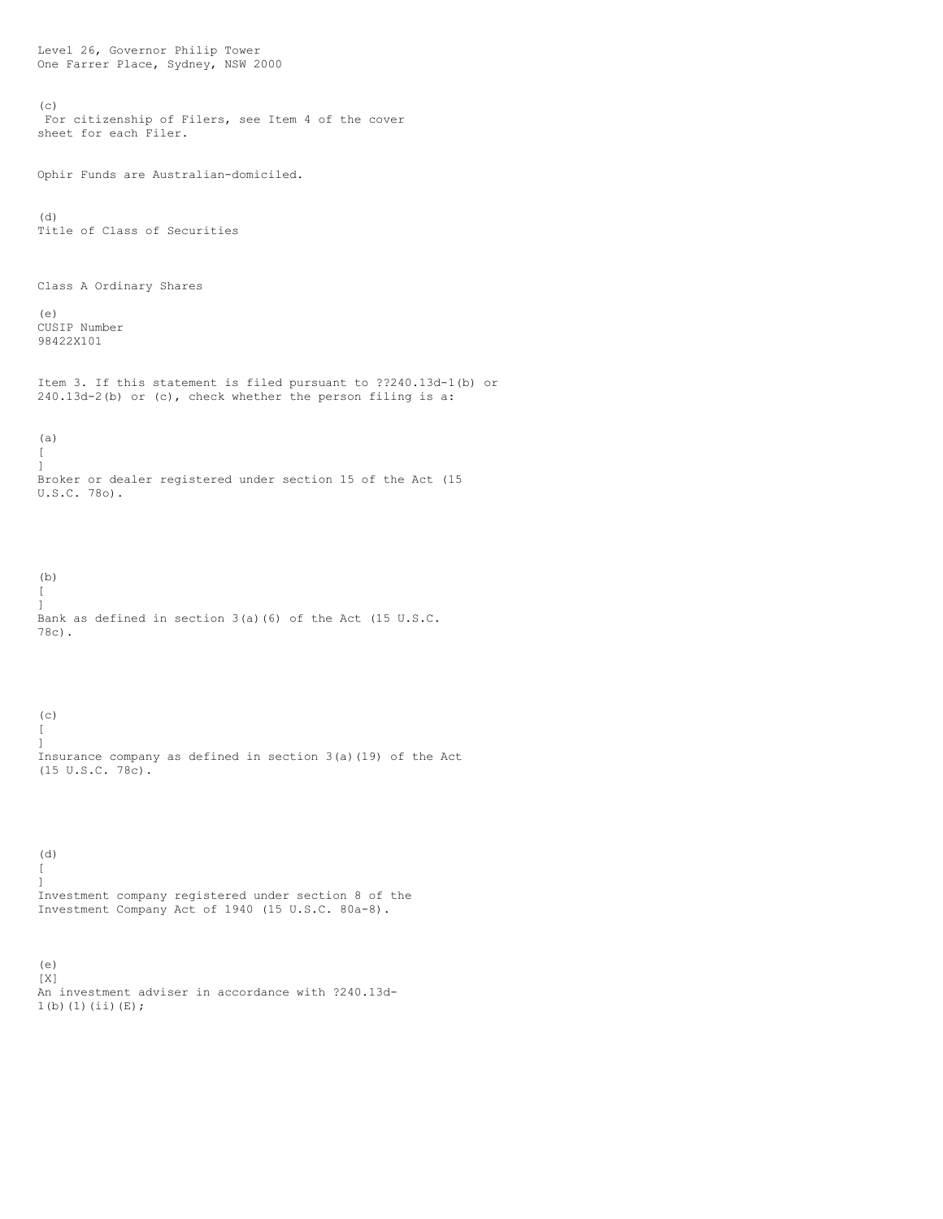Level 26, Governor Philip Tower One Farrer Place, Sydney, NSW 2000  $(c)$ For citizenship of Filers, see Item 4 of the cover sheet for each Filer. Ophir Funds are Australian-domiciled. (d) Title of Class of Securities Class A Ordinary Shares (e) CUSIP Number 98422X101 Item 3. If this statement is filed pursuant to ??240.13d-1(b) or 240.13d-2(b) or (c), check whether the person filing is a: (a)  $\sqrt{2}$ ] Broker or dealer registered under section 15 of the Act (15 U.S.C. 78o). (b)  $\sqrt{2}$ ] Bank as defined in section 3(a)(6) of the Act (15 U.S.C. 78c).  $(c)$  $\lceil$ ] Insurance company as defined in section 3(a)(19) of the Act (15 U.S.C. 78c). (d) [ ] Investment company registered under section 8 of the Investment Company Act of 1940 (15 U.S.C. 80a-8). (e) [X] An investment adviser in accordance with ?240.13d-

 $1(b)(1)(ii)(E);$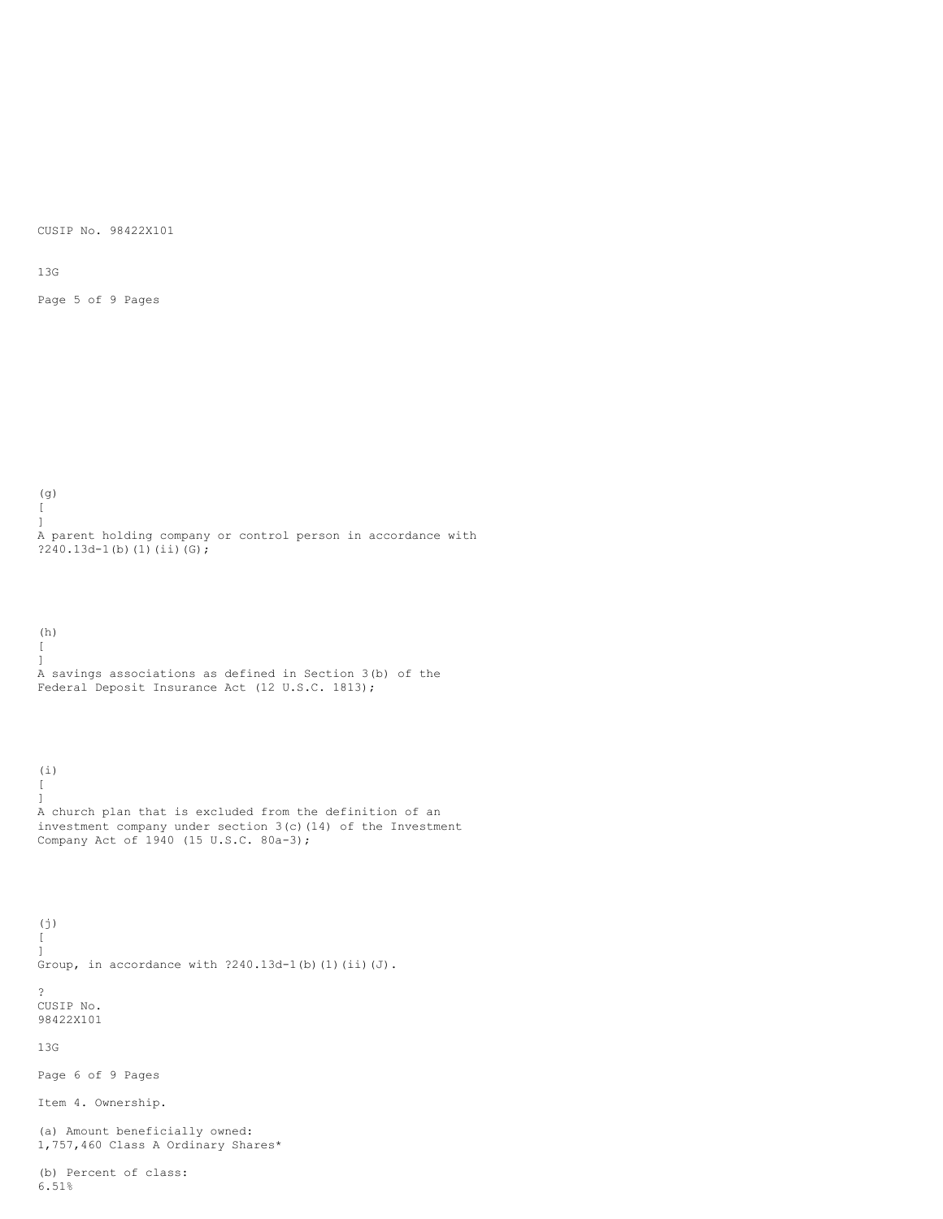CUSIP No. 98422X101

13G

(i)

Page 5 of 9 Pages

(g) [  $\begin{array}{c} \end{array}$ A parent holding company or control person in accordance with  $?240.13d-1(b)(1)(ii)(G);$ 

(h)  $\Gamma$ ] A savings associations as defined in Section 3(b) of the Federal Deposit Insurance Act (12 U.S.C. 1813);

 $\Gamma$ ] A church plan that is excluded from the definition of an investment company under section 3(c)(14) of the Investment Company Act of 1940 (15 U.S.C. 80a-3);

(j)  $\lceil$ ] Group, in accordance with ?240.13d-1(b)(1)(ii)(J). ? CUSIP No. 98422X101 13G Page 6 of 9 Pages Item 4. Ownership.

(a) Amount beneficially owned: 1,757,460 Class A Ordinary Shares\*

(b) Percent of class: 6.51%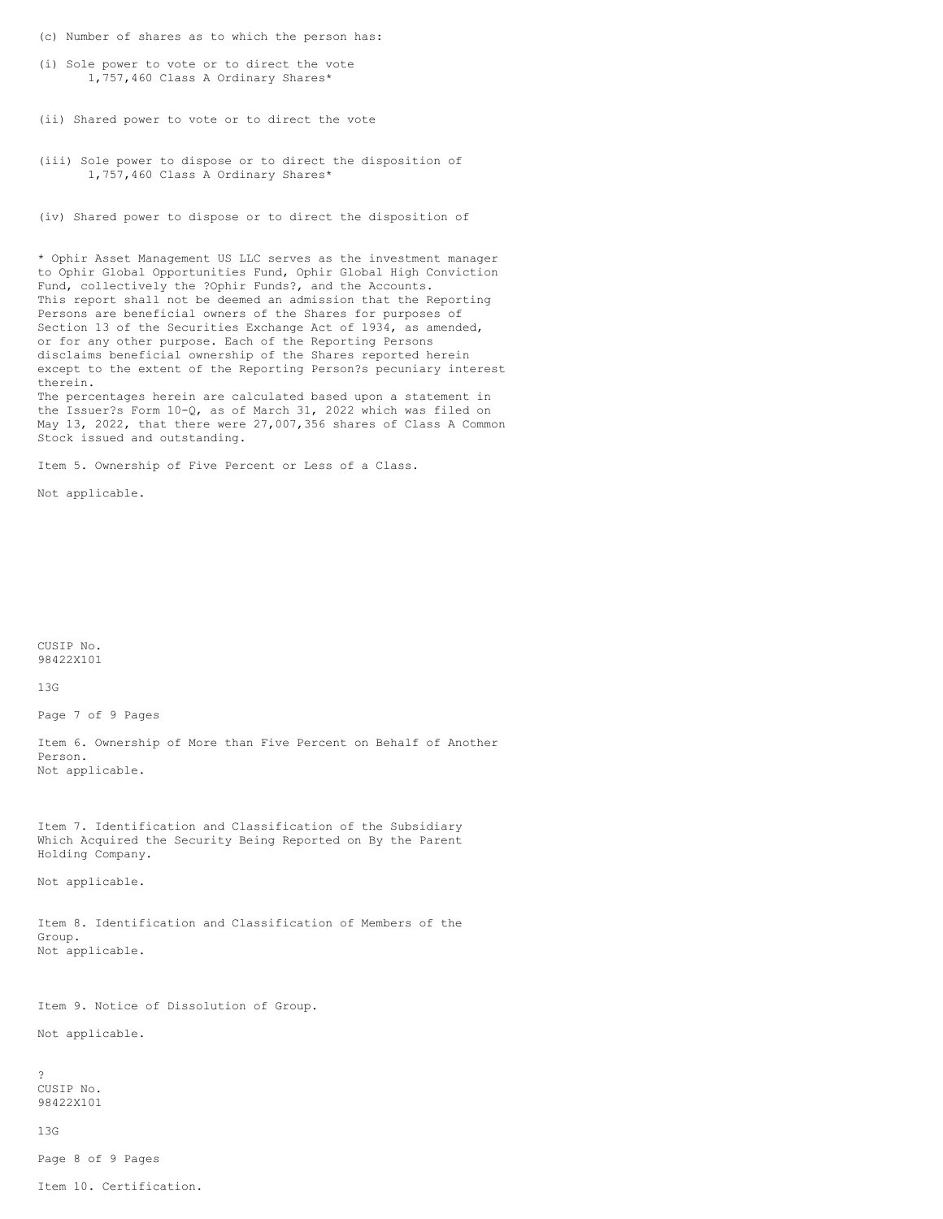- (c) Number of shares as to which the person has:
- (i) Sole power to vote or to direct the vote 1,757,460 Class A Ordinary Shares\*
- (ii) Shared power to vote or to direct the vote
- (iii) Sole power to dispose or to direct the disposition of 1,757,460 Class A Ordinary Shares\*
- (iv) Shared power to dispose or to direct the disposition of

\* Ophir Asset Management US LLC serves as the investment manager to Ophir Global Opportunities Fund, Ophir Global High Conviction Fund, collectively the ?Ophir Funds?, and the Accounts. This report shall not be deemed an admission that the Reporting Persons are beneficial owners of the Shares for purposes of Section 13 of the Securities Exchange Act of 1934, as amended, or for any other purpose. Each of the Reporting Persons disclaims beneficial ownership of the Shares reported herein except to the extent of the Reporting Person?s pecuniary interest therein. The percentages herein are calculated based upon a statement in

the Issuer?s Form 10-Q, as of March 31, 2022 which was filed on May 13, 2022, that there were 27,007,356 shares of Class A Common Stock issued and outstanding.

Item 5. Ownership of Five Percent or Less of a Class.

Not applicable.

CUSIP No. 98422X101

13G

Page 7 of 9 Pages

Item 6. Ownership of More than Five Percent on Behalf of Another Person. Not applicable.

Item 7. Identification and Classification of the Subsidiary Which Acquired the Security Being Reported on By the Parent Holding Company.

Not applicable.

Item 8. Identification and Classification of Members of the Group. Not applicable.

Item 9. Notice of Dissolution of Group.

Not applicable.

? CUSIP No. 98422X101

13G

Page 8 of 9 Pages

Item 10. Certification.